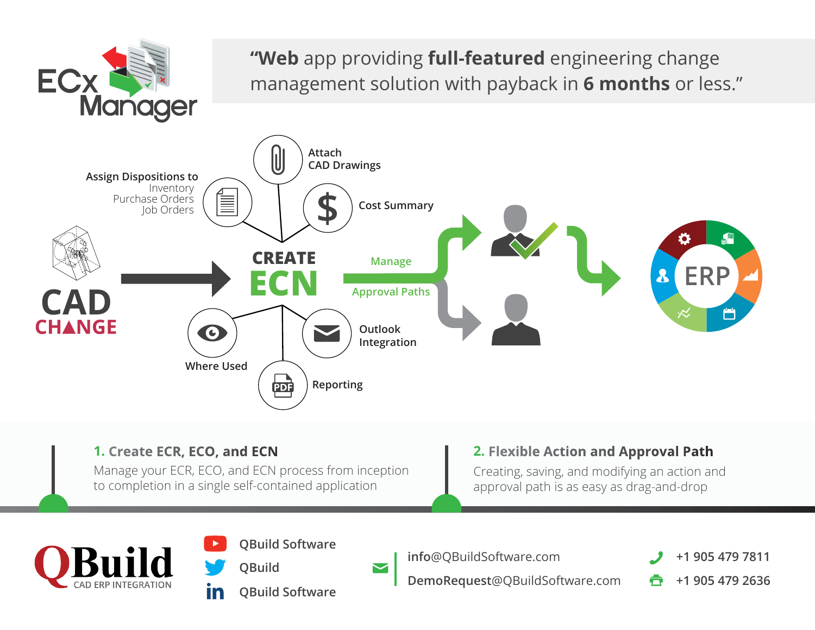

Manage your ECR, ECO, and ECN process from inception to completion in a single self-contained application

**QBuild**

**In** 

## **1. Create ECR, ECO, and ECN 2. Flexible Action and Approval Path**

Creating, saving, and modifying an action and approval path is as easy as drag-and-drop



**QBuild Software**

 $\blacktriangleright$ 

**QBuild Software**

**info**@QBuildSoftware.com

**DemoRequest**@QBuildSoftware.com

**+1 905 479 7811**

**+1 905 479 2636**